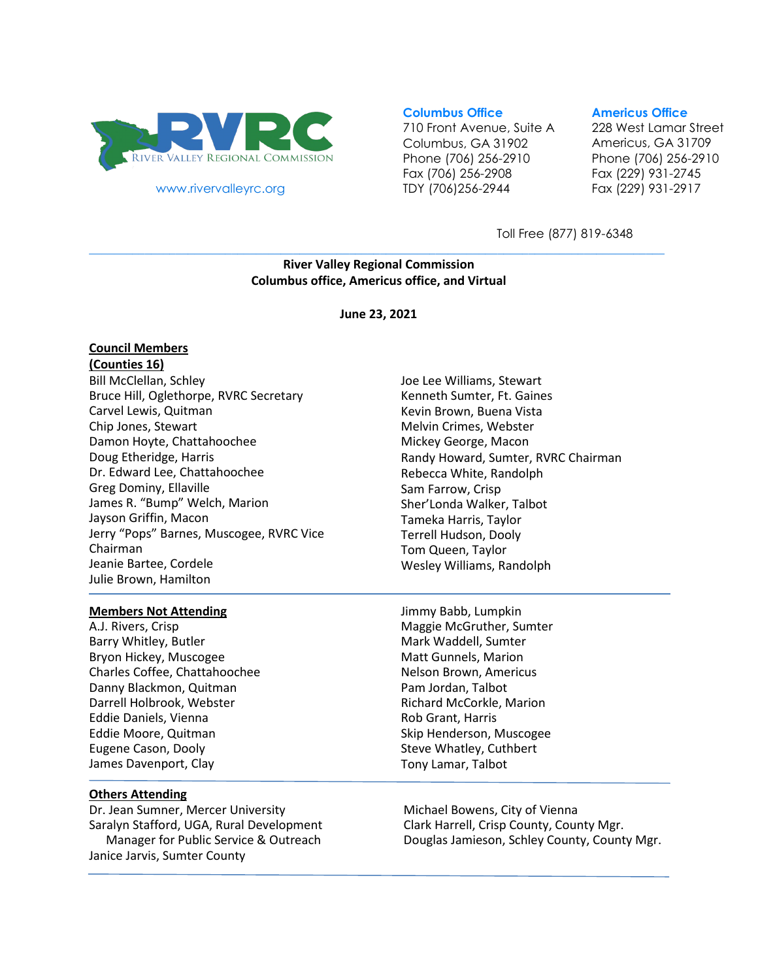

www.rivervalleyrc.org

### **Columbus Office**

710 Front Avenue, Suite A Columbus, GA 31902 Phone (706) 256-2910 Fax (706) 256-2908 TDY (706)256-2944

#### **Americus Office**

228 West Lamar Street Americus, GA 31709 Phone (706) 256-2910 Fax (229) 931-2745 Fax (229) 931-2917

Toll Free (877) 819-6348

### **\_\_\_\_\_\_\_\_\_\_\_\_\_\_\_\_\_\_\_\_\_\_\_\_\_\_\_\_\_\_\_\_\_\_\_\_\_\_\_\_\_\_\_\_\_\_\_\_\_\_\_\_\_\_\_\_\_\_\_\_\_\_\_\_\_\_\_\_\_\_\_\_\_\_\_\_\_\_\_\_\_\_\_\_\_\_\_\_\_\_\_\_\_ River Valley Regional Commission Columbus office, Americus office, and Virtual**

**June 23, 2021**

#### **Council Members (Counties 16)**

Bill McClellan, Schley Bruce Hill, Oglethorpe, RVRC Secretary Carvel Lewis, Quitman Chip Jones, Stewart Damon Hoyte, Chattahoochee Doug Etheridge, Harris Dr. Edward Lee, Chattahoochee Greg Dominy, Ellaville James R. "Bump" Welch, Marion Jayson Griffin, Macon Jerry "Pops" Barnes, Muscogee, RVRC Vice Chairman Jeanie Bartee, Cordele Julie Brown, Hamilton

#### **Members Not Attending**

A.J. Rivers, Crisp Barry Whitley, Butler Bryon Hickey, Muscogee Charles Coffee, Chattahoochee Danny Blackmon, Quitman Darrell Holbrook, Webster Eddie Daniels, Vienna Eddie Moore, Quitman Eugene Cason, Dooly James Davenport, Clay

### **Others Attending**

Dr. Jean Sumner, Mercer University Saralyn Stafford, UGA, Rural Development Manager for Public Service & Outreach Janice Jarvis, Sumter County

- Joe Lee Williams, Stewart Kenneth Sumter, Ft. Gaines Kevin Brown, Buena Vista Melvin Crimes, Webster Mickey George, Macon Randy Howard, Sumter, RVRC Chairman Rebecca White, Randolph Sam Farrow, Crisp Sher'Londa Walker, Talbot Tameka Harris, Taylor Terrell Hudson, Dooly Tom Queen, Taylor Wesley Williams, Randolph
- Jimmy Babb, Lumpkin Maggie McGruther, Sumter Mark Waddell, Sumter Matt Gunnels, Marion Nelson Brown, Americus Pam Jordan, Talbot Richard McCorkle, Marion Rob Grant, Harris Skip Henderson, Muscogee Steve Whatley, Cuthbert Tony Lamar, Talbot

Michael Bowens, City of Vienna Clark Harrell, Crisp County, County Mgr. Douglas Jamieson, Schley County, County Mgr.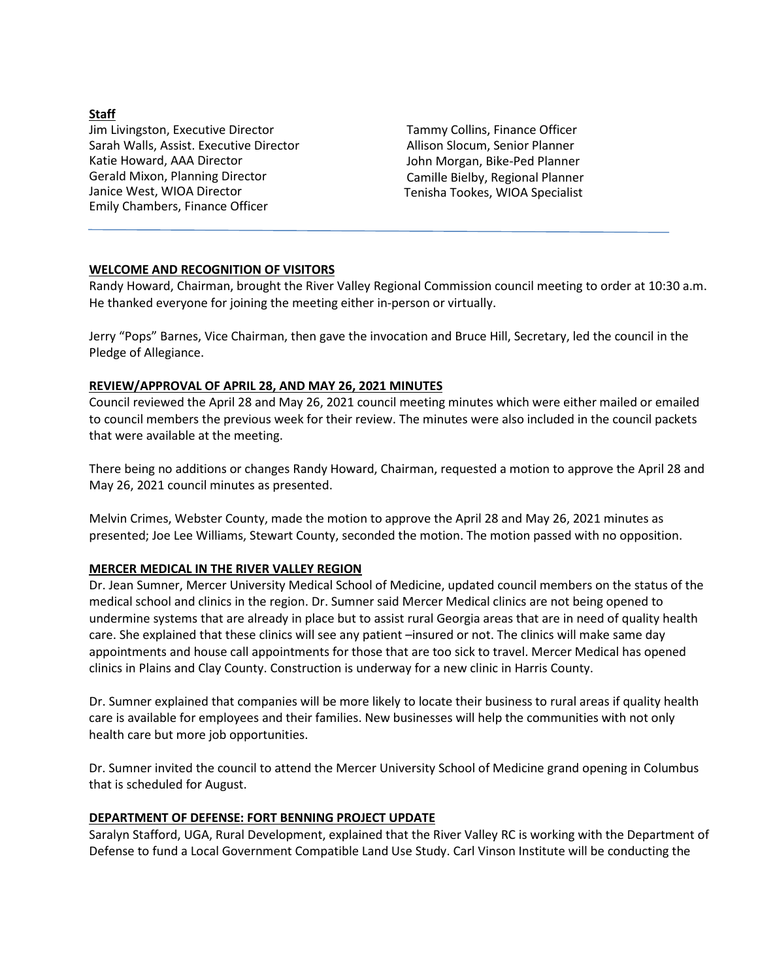## **Staff**

Jim Livingston, Executive Director Sarah Walls, Assist. Executive Director Katie Howard, AAA Director Gerald Mixon, Planning Director Janice West, WIOA Director Emily Chambers, Finance Officer

Tammy Collins, Finance Officer Allison Slocum, Senior Planner John Morgan, Bike-Ped Planner Camille Bielby, Regional Planner Tenisha Tookes, WIOA Specialist

## **WELCOME AND RECOGNITION OF VISITORS**

Randy Howard, Chairman, brought the River Valley Regional Commission council meeting to order at 10:30 a.m. He thanked everyone for joining the meeting either in-person or virtually.

Jerry "Pops" Barnes, Vice Chairman, then gave the invocation and Bruce Hill, Secretary, led the council in the Pledge of Allegiance.

## **REVIEW/APPROVAL OF APRIL 28, AND MAY 26, 2021 MINUTES**

Council reviewed the April 28 and May 26, 2021 council meeting minutes which were either mailed or emailed to council members the previous week for their review. The minutes were also included in the council packets that were available at the meeting.

There being no additions or changes Randy Howard, Chairman, requested a motion to approve the April 28 and May 26, 2021 council minutes as presented.

Melvin Crimes, Webster County, made the motion to approve the April 28 and May 26, 2021 minutes as presented; Joe Lee Williams, Stewart County, seconded the motion. The motion passed with no opposition.

## **MERCER MEDICAL IN THE RIVER VALLEY REGION**

Dr. Jean Sumner, Mercer University Medical School of Medicine, updated council members on the status of the medical school and clinics in the region. Dr. Sumner said Mercer Medical clinics are not being opened to undermine systems that are already in place but to assist rural Georgia areas that are in need of quality health care. She explained that these clinics will see any patient –insured or not. The clinics will make same day appointments and house call appointments for those that are too sick to travel. Mercer Medical has opened clinics in Plains and Clay County. Construction is underway for a new clinic in Harris County.

Dr. Sumner explained that companies will be more likely to locate their business to rural areas if quality health care is available for employees and their families. New businesses will help the communities with not only health care but more job opportunities.

Dr. Sumner invited the council to attend the Mercer University School of Medicine grand opening in Columbus that is scheduled for August.

# **DEPARTMENT OF DEFENSE: FORT BENNING PROJECT UPDATE**

Saralyn Stafford, UGA, Rural Development, explained that the River Valley RC is working with the Department of Defense to fund a Local Government Compatible Land Use Study. Carl Vinson Institute will be conducting the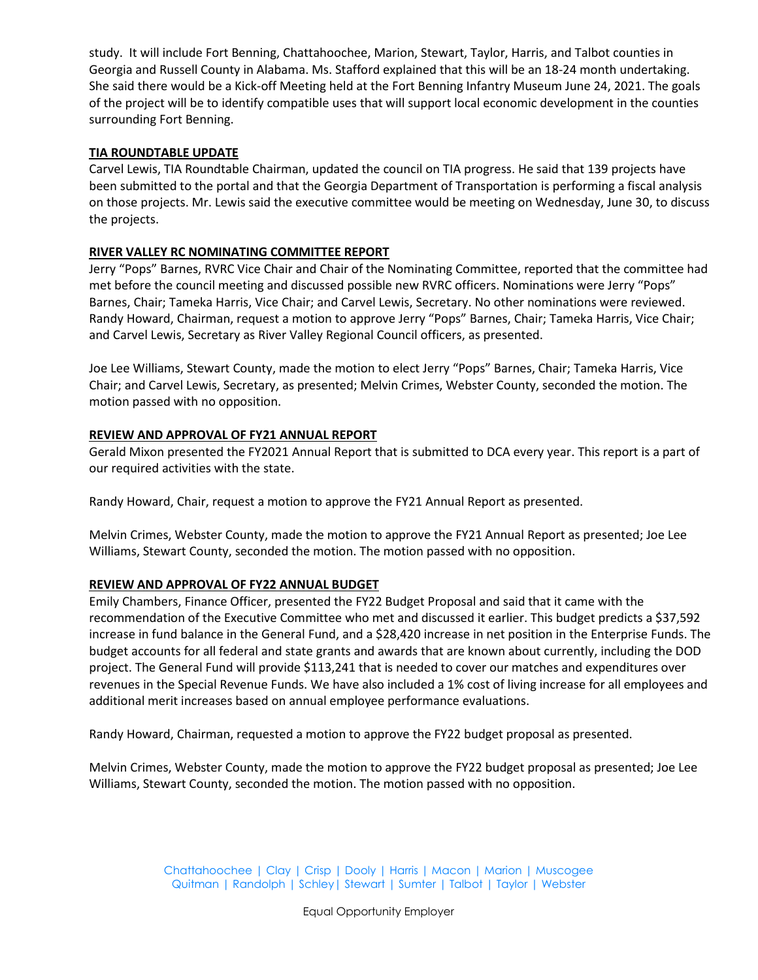study. It will include Fort Benning, Chattahoochee, Marion, Stewart, Taylor, Harris, and Talbot counties in Georgia and Russell County in Alabama. Ms. Stafford explained that this will be an 18-24 month undertaking. She said there would be a Kick-off Meeting held at the Fort Benning Infantry Museum June 24, 2021. The goals of the project will be to identify compatible uses that will support local economic development in the counties surrounding Fort Benning.

## **TIA ROUNDTABLE UPDATE**

Carvel Lewis, TIA Roundtable Chairman, updated the council on TIA progress. He said that 139 projects have been submitted to the portal and that the Georgia Department of Transportation is performing a fiscal analysis on those projects. Mr. Lewis said the executive committee would be meeting on Wednesday, June 30, to discuss the projects.

## **RIVER VALLEY RC NOMINATING COMMITTEE REPORT**

Jerry "Pops" Barnes, RVRC Vice Chair and Chair of the Nominating Committee, reported that the committee had met before the council meeting and discussed possible new RVRC officers. Nominations were Jerry "Pops" Barnes, Chair; Tameka Harris, Vice Chair; and Carvel Lewis, Secretary. No other nominations were reviewed. Randy Howard, Chairman, request a motion to approve Jerry "Pops" Barnes, Chair; Tameka Harris, Vice Chair; and Carvel Lewis, Secretary as River Valley Regional Council officers, as presented.

Joe Lee Williams, Stewart County, made the motion to elect Jerry "Pops" Barnes, Chair; Tameka Harris, Vice Chair; and Carvel Lewis, Secretary, as presented; Melvin Crimes, Webster County, seconded the motion. The motion passed with no opposition.

## **REVIEW AND APPROVAL OF FY21 ANNUAL REPORT**

Gerald Mixon presented the FY2021 Annual Report that is submitted to DCA every year. This report is a part of our required activities with the state.

Randy Howard, Chair, request a motion to approve the FY21 Annual Report as presented.

Melvin Crimes, Webster County, made the motion to approve the FY21 Annual Report as presented; Joe Lee Williams, Stewart County, seconded the motion. The motion passed with no opposition.

# **REVIEW AND APPROVAL OF FY22 ANNUAL BUDGET**

Emily Chambers, Finance Officer, presented the FY22 Budget Proposal and said that it came with the recommendation of the Executive Committee who met and discussed it earlier. This budget predicts a \$37,592 increase in fund balance in the General Fund, and a \$28,420 increase in net position in the Enterprise Funds. The budget accounts for all federal and state grants and awards that are known about currently, including the DOD project. The General Fund will provide \$113,241 that is needed to cover our matches and expenditures over revenues in the Special Revenue Funds. We have also included a 1% cost of living increase for all employees and additional merit increases based on annual employee performance evaluations.

Randy Howard, Chairman, requested a motion to approve the FY22 budget proposal as presented.

Melvin Crimes, Webster County, made the motion to approve the FY22 budget proposal as presented; Joe Lee Williams, Stewart County, seconded the motion. The motion passed with no opposition.

> Chattahoochee | Clay | Crisp | Dooly | Harris | Macon | Marion | Muscogee Quitman | Randolph | Schley| Stewart | Sumter | Talbot | Taylor | Webster

> > Equal Opportunity Employer